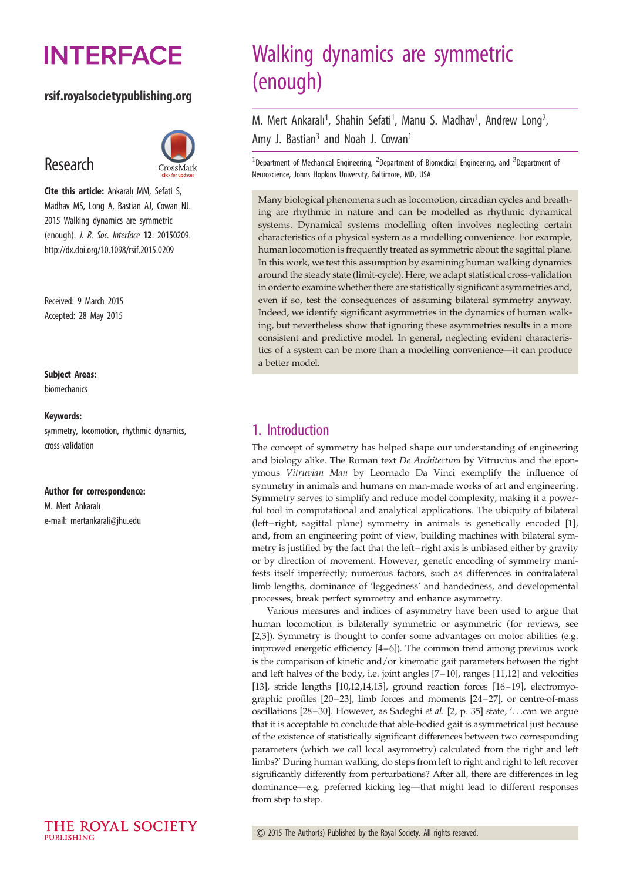# **INTERFACE**

## rsif.royalsocietypublishing.org

## Research



Cite this article: Ankaralı MM, Sefati S, Madhav MS, Long A, Bastian AJ, Cowan NJ. 2015 Walking dynamics are symmetric (enough). J. R. Soc. Interface 12: 20150209. http://dx.doi.org/10.1098/rsif.2015.0209

Received: 9 March 2015 Accepted: 28 May 2015

#### Subject Areas:

biomechanics

#### Keywords:

symmetry, locomotion, rhythmic dynamics, cross-validation

#### Author for correspondence:

M. Mert Ankaralı e-mail: [mertankarali@jhu.edu](mailto:mertankarali@jhu.edu)

## Walking dynamics are symmetric (enough)

M. Mert Ankaralı<sup>1</sup>, Shahin Sefati<sup>1</sup>, Manu S. Madhav<sup>1</sup>, Andrew Long<sup>2</sup> .<br>, Amy J. Bastian<sup>3</sup> and Noah J. Cowan<sup>1</sup>

<sup>1</sup>Department of Mechanical Engineering, <sup>2</sup>Department of Biomedical Engineering, and <sup>3</sup>Department of Neuroscience, Johns Hopkins University, Baltimore, MD, USA

Many biological phenomena such as locomotion, circadian cycles and breathing are rhythmic in nature and can be modelled as rhythmic dynamical systems. Dynamical systems modelling often involves neglecting certain characteristics of a physical system as a modelling convenience. For example, human locomotion is frequently treated as symmetric about the sagittal plane. In this work, we test this assumption by examining human walking dynamics around the steady state (limit-cycle). Here, we adapt statistical cross-validation in order to examine whether there are statistically significant asymmetries and, even if so, test the consequences of assuming bilateral symmetry anyway. Indeed, we identify significant asymmetries in the dynamics of human walking, but nevertheless show that ignoring these asymmetries results in a more consistent and predictive model. In general, neglecting evident characteristics of a system can be more than a modelling convenience—it can produce a better model.

## 1. Introduction

The concept of symmetry has helped shape our understanding of engineering and biology alike. The Roman text De Architectura by Vitruvius and the eponymous Vitruvian Man by Leornado Da Vinci exemplify the influence of symmetry in animals and humans on man-made works of art and engineering. Symmetry serves to simplify and reduce model complexity, making it a powerful tool in computational and analytical applications. The ubiquity of bilateral (left– right, sagittal plane) symmetry in animals is genetically encoded [\[1\]](#page-8-0), and, from an engineering point of view, building machines with bilateral symmetry is justified by the fact that the left – right axis is unbiased either by gravity or by direction of movement. However, genetic encoding of symmetry manifests itself imperfectly; numerous factors, such as differences in contralateral limb lengths, dominance of 'leggedness' and handedness, and developmental processes, break perfect symmetry and enhance asymmetry.

Various measures and indices of asymmetry have been used to argue that human locomotion is bilaterally symmetric or asymmetric (for reviews, see [[2,3\]](#page-8-0)). Symmetry is thought to confer some advantages on motor abilities (e.g. improved energetic efficiency [[4](#page-8-0)–[6\]](#page-8-0)). The common trend among previous work is the comparison of kinetic and/or kinematic gait parameters between the right and left halves of the body, i.e. joint angles [[7](#page-8-0)–[10](#page-8-0)], ranges [\[11,12\]](#page-8-0) and velocities [[13\]](#page-8-0), stride lengths [\[10,12,14,15\]](#page-8-0), ground reaction forces [[16](#page-8-0)–[19\]](#page-8-0), electromyographic profiles [[20](#page-8-0)–[23](#page-8-0)], limb forces and moments [\[24](#page-8-0)–[27\]](#page-8-0), or centre-of-mass oscillations [\[28](#page-8-0)–[30](#page-9-0)]. However, as Sadeghi et al. [\[2,](#page-8-0) p. 35] state, '...can we argue that it is acceptable to conclude that able-bodied gait is asymmetrical just because of the existence of statistically significant differences between two corresponding parameters (which we call local asymmetry) calculated from the right and left limbs?' During human walking, do steps from left to right and right to left recover significantly differently from perturbations? After all, there are differences in leg dominance—e.g. preferred kicking leg—that might lead to different responses from step to step.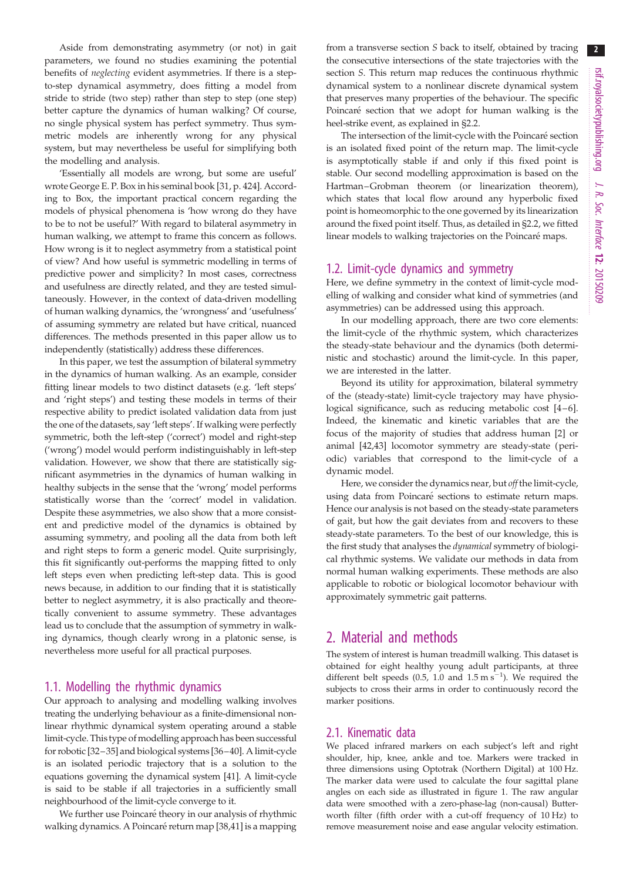Aside from demonstrating asymmetry (or not) in gait parameters, we found no studies examining the potential benefits of neglecting evident asymmetries. If there is a stepto-step dynamical asymmetry, does fitting a model from stride to stride (two step) rather than step to step (one step) better capture the dynamics of human walking? Of course, no single physical system has perfect symmetry. Thus symmetric models are inherently wrong for any physical system, but may nevertheless be useful for simplifying both the modelling and analysis.

'Essentially all models are wrong, but some are useful' wrote George E. P. Box in his seminal book [[31,](#page-9-0) p. 424]. According to Box, the important practical concern regarding the models of physical phenomena is 'how wrong do they have to be to not be useful?' With regard to bilateral asymmetry in human walking, we attempt to frame this concern as follows. How wrong is it to neglect asymmetry from a statistical point of view? And how useful is symmetric modelling in terms of predictive power and simplicity? In most cases, correctness and usefulness are directly related, and they are tested simultaneously. However, in the context of data-driven modelling of human walking dynamics, the 'wrongness' and 'usefulness' of assuming symmetry are related but have critical, nuanced differences. The methods presented in this paper allow us to independently (statistically) address these differences.

In this paper, we test the assumption of bilateral symmetry in the dynamics of human walking. As an example, consider fitting linear models to two distinct datasets (e.g. 'left steps' and 'right steps') and testing these models in terms of their respective ability to predict isolated validation data from just the one of the datasets, say 'left steps'. If walking were perfectly symmetric, both the left-step ('correct') model and right-step ('wrong') model would perform indistinguishably in left-step validation. However, we show that there are statistically significant asymmetries in the dynamics of human walking in healthy subjects in the sense that the 'wrong' model performs statistically worse than the 'correct' model in validation. Despite these asymmetries, we also show that a more consistent and predictive model of the dynamics is obtained by assuming symmetry, and pooling all the data from both left and right steps to form a generic model. Quite surprisingly, this fit significantly out-performs the mapping fitted to only left steps even when predicting left-step data. This is good news because, in addition to our finding that it is statistically better to neglect asymmetry, it is also practically and theoretically convenient to assume symmetry. These advantages lead us to conclude that the assumption of symmetry in walking dynamics, though clearly wrong in a platonic sense, is nevertheless more useful for all practical purposes.

#### 1.1. Modelling the rhythmic dynamics

Our approach to analysing and modelling walking involves treating the underlying behaviour as a finite-dimensional nonlinear rhythmic dynamical system operating around a stable limit-cycle. This type of modelling approach has been successful for robotic [\[32](#page-9-0)–[35](#page-9-0)] and biological systems [[36](#page-9-0)–[40](#page-9-0)]. A limit-cycle is an isolated periodic trajectory that is a solution to the equations governing the dynamical system [[41](#page-9-0)]. A limit-cycle is said to be stable if all trajectories in a sufficiently small neighbourhood of the limit-cycle converge to it.

We further use Poincaré theory in our analysis of rhythmic walking dynamics. A Poincaré return map [\[38,41](#page-9-0)] is a mapping from a transverse section S back to itself, obtained by tracing the consecutive intersections of the state trajectories with the section S. This return map reduces the continuous rhythmic dynamical system to a nonlinear discrete dynamical system that preserves many properties of the behaviour. The specific Poincaré section that we adopt for human walking is the heel-strike event, as explained in §2.2.

The intersection of the limit-cycle with the Poincaré section is an isolated fixed point of the return map. The limit-cycle is asymptotically stable if and only if this fixed point is stable. Our second modelling approximation is based on the Hartman–Grobman theorem (or linearization theorem), which states that local flow around any hyperbolic fixed point is homeomorphic to the one governed by its linearization around the fixed point itself. Thus, as detailed in §2.2, we fitted linear models to walking trajectories on the Poincaré maps.

#### 1.2. Limit-cycle dynamics and symmetry

Here, we define symmetry in the context of limit-cycle modelling of walking and consider what kind of symmetries (and asymmetries) can be addressed using this approach.

In our modelling approach, there are two core elements: the limit-cycle of the rhythmic system, which characterizes the steady-state behaviour and the dynamics (both deterministic and stochastic) around the limit-cycle. In this paper, we are interested in the latter.

Beyond its utility for approximation, bilateral symmetry of the (steady-state) limit-cycle trajectory may have physio-logical significance, such as reducing metabolic cost [\[4](#page-8-0)-[6\]](#page-8-0). Indeed, the kinematic and kinetic variables that are the focus of the majority of studies that address human [\[2\]](#page-8-0) or animal [\[42](#page-9-0),[43\]](#page-9-0) locomotor symmetry are steady-state (periodic) variables that correspond to the limit-cycle of a dynamic model.

Here, we consider the dynamics near, but off the limit-cycle, using data from Poincaré sections to estimate return maps. Hence our analysis is not based on the steady-state parameters of gait, but how the gait deviates from and recovers to these steady-state parameters. To the best of our knowledge, this is the first study that analyses the dynamical symmetry of biological rhythmic systems. We validate our methods in data from normal human walking experiments. These methods are also applicable to robotic or biological locomotor behaviour with approximately symmetric gait patterns.

## 2. Material and methods

The system of interest is human treadmill walking. This dataset is obtained for eight healthy young adult participants, at three different belt speeds (0.5, 1.0 and  $1.5 \text{ m s}^{-1}$ ). We required the subjects to cross their arms in order to continuously record the marker positions.

#### 2.1. Kinematic data

We placed infrared markers on each subject's left and right shoulder, hip, knee, ankle and toe. Markers were tracked in three dimensions using Optotrak (Northern Digital) at 100 Hz. The marker data were used to calculate the four sagittal plane angles on each side as illustrated in [figure 1](#page-2-0). The raw angular data were smoothed with a zero-phase-lag (non-causal) Butterworth filter (fifth order with a cut-off frequency of 10 Hz) to remove measurement noise and ease angular velocity estimation.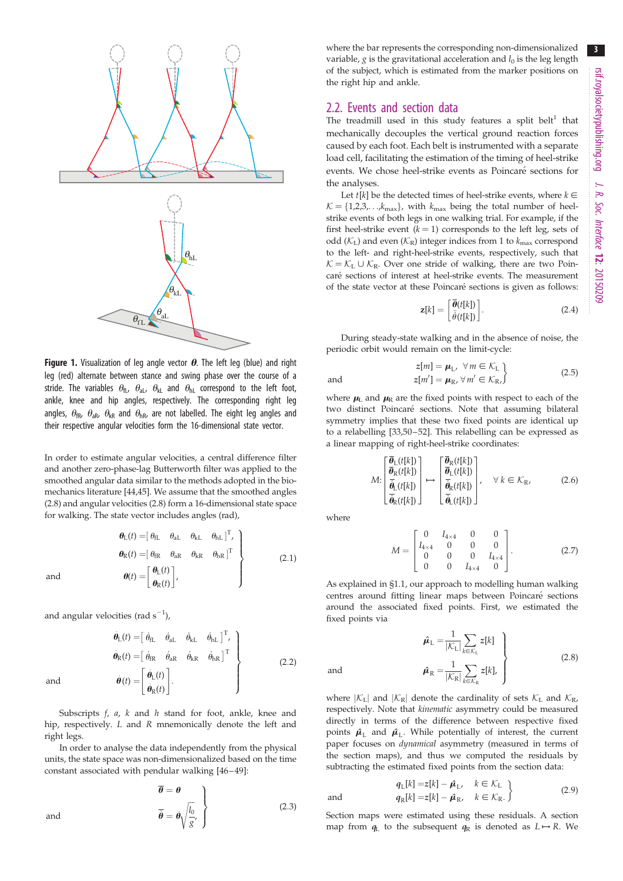<span id="page-2-0"></span>

Figure 1. Visualization of leg angle vector  $\theta$ . The left leg (blue) and right leg (red) alternate between stance and swing phase over the course of a stride. The variables  $\theta_{\text{fl}}$ ,  $\theta_{\text{al}}$ ,  $\theta_{\text{kl}}$  and  $\theta_{\text{hl}}$  correspond to the left foot, ankle, knee and hip angles, respectively. The corresponding right leg angles,  $\theta_{\text{fR}}$ ,  $\theta_{\text{aR}}$ ,  $\theta_{\text{kR}}$  and  $\theta_{\text{hR}}$ , are not labelled. The eight leg angles and their respective angular velocities form the 16-dimensional state vector.

In order to estimate angular velocities, a central difference filter and another zero-phase-lag Butterworth filter was applied to the smoothed angular data similar to the methods adopted in the biomechanics literature [\[44,45](#page-9-0)]. We assume that the smoothed angles (2.8) and angular velocities (2.8) form a 16-dimensional state space for walking. The state vector includes angles (rad),

 $\boldsymbol{\theta}_{\text{L}}(t) = [\theta_{\text{fL}} \quad \theta_{\text{aL}} \quad \theta_{\text{kL}} \quad \theta_{\text{hL}}]^{\text{T}}$ ,  $\boldsymbol{\theta}_{\mathrm{R}}(t) = [\theta_{\mathrm{fR}} \quad \theta_{\mathrm{aR}} \quad \theta_{\mathrm{kR}} \quad \theta_{\mathrm{hR}}]^{\mathrm{T}}$ and  $\boldsymbol{\theta}(t) = \begin{bmatrix} \boldsymbol{\theta}_{\text{L}}(t) \\ \boldsymbol{\theta}_{\text{R}}(t) \end{bmatrix}$  $\Gamma$   $\mathbf{A}$ ,  $(4)$   $\mathbf{I}$ ,  $\mathbf{v}$  $\Big\}$  $\Big\}$  $(2.1)$ 

and angular velocities (rad  $s^{-1}$ ),

$$
\begin{aligned}\n\boldsymbol{\theta}_{\text{L}}(t) &= \begin{bmatrix} \dot{\theta}_{\text{fL}} & \dot{\theta}_{\text{aL}} & \dot{\theta}_{\text{kL}} & \dot{\theta}_{\text{hL}} \end{bmatrix}^{\text{T}}, \\
\boldsymbol{\theta}_{\text{R}}(t) &= \begin{bmatrix} \dot{\theta}_{\text{fR}} & \dot{\theta}_{\text{aR}} & \dot{\theta}_{\text{kR}} & \dot{\theta}_{\text{hR}} \end{bmatrix}^{\text{T}} \\
\boldsymbol{\theta}(t) &= \begin{bmatrix} \boldsymbol{\theta}_{\text{L}}(t) \\ \boldsymbol{\theta}_{\text{R}}(t) \end{bmatrix}.\n\end{aligned} \tag{2.2}
$$

and

Subscripts  $f$ ,  $a$ ,  $k$  and  $h$  stand for foot, ankle, knee and hip, respectively. L and R mnemonically denote the left and right legs.

In order to analyse the data independently from the physical units, the state space was non-dimensionalized based on the time constant associated with pendular walking [[46](#page-9-0)-49]:

$$
\overline{\theta} = \theta
$$
\nand\n
$$
\overline{\dot{\theta}} = \dot{\theta} \sqrt{\frac{l_0}{g'}} \qquad (2.3)
$$

where the bar represents the corresponding non-dimensionalized variable,  $g$  is the gravitational acceleration and  $l_0$  is the leg length of the subject, which is estimated from the marker positions on the right hip and ankle.

#### 2.2. Events and section data

The treadmill used in this study features a split belt<sup>1</sup> that mechanically decouples the vertical ground reaction forces caused by each foot. Each belt is instrumented with a separate load cell, facilitating the estimation of the timing of heel-strike events. We chose heel-strike events as Poincaré sections for the analyses.

Let  $t[k]$  be the detected times of heel-strike events, where  $k \in$  $K = \{1,2,3,...,k_{\text{max}}\}$ , with  $k_{\text{max}}$  being the total number of heelstrike events of both legs in one walking trial. For example, if the first heel-strike event  $(k = 1)$  corresponds to the left leg, sets of odd ( $K_L$ ) and even ( $K_R$ ) integer indices from 1 to  $k_{\text{max}}$  correspond to the left- and right-heel-strike events, respectively, such that  $K = \mathcal{K}_L \cup \mathcal{K}_R$ . Over one stride of walking, there are two Poincaré sections of interest at heel-strike events. The measurement of the state vector at these Poincaré sections is given as follows:

$$
\mathbf{z}[k] = \begin{bmatrix} \overline{\boldsymbol{\theta}}(t[k]) \\ \overline{\dot{\theta}}(t[k]) \end{bmatrix}.
$$
 (2.4)

During steady-state walking and in the absence of noise, the periodic orbit would remain on the limit-cycle:

$$
z[m] = \mu_{\rm L}, \ \forall m \in \mathcal{K}_{\rm L} \}
$$
  
and  

$$
z[m'] = \mu_{\rm R}, \forall m' \in \mathcal{K}_{\rm R}, \}
$$
 (2.5)

where  $\mu$ <sub>L</sub> and  $\mu$ <sub>R</sub> are the fixed points with respect to each of the two distinct Poincaré sections. Note that assuming bilateral symmetry implies that these two fixed points are identical up to a relabelling [[33,50](#page-9-0)-52]. This relabelling can be expressed as a linear mapping of right-heel-strike coordinates:

$$
M: \begin{bmatrix} \overline{\theta}_{\mathrm{L}}(t[k]) \\ \overline{\theta}_{\mathrm{R}}(t[k]) \\ \overline{\dot{\theta}}_{\mathrm{L}}(t[k]) \\ \overline{\dot{\theta}}_{\mathrm{R}}(t[k]) \end{bmatrix} \mapsto \begin{bmatrix} \overline{\theta}_{\mathrm{R}}(t[k]) \\ \overline{\theta}_{\mathrm{L}}(t[k]) \\ \overline{\dot{\theta}}_{\mathrm{R}}(t[k]) \end{bmatrix}, \quad \forall \, k \in \mathcal{K}_{\mathrm{R}}, \tag{2.6}
$$

where

$$
M = \begin{bmatrix} 0 & I_{4 \times 4} & 0 & 0 \\ I_{4 \times 4} & 0 & 0 & 0 \\ 0 & 0 & 0 & I_{4 \times 4} \\ 0 & 0 & I_{4 \times 4} & 0 \end{bmatrix}.
$$
 (2.7)

As explained in §1.1, our approach to modelling human walking centres around fitting linear maps between Poincaré sections around the associated fixed points. First, we estimated the fixed points via

$$
\hat{\mu}_{\rm L} = \frac{1}{|\mathcal{K}_{\rm L}|} \sum_{k \in \mathcal{K}_{\rm L}} z[k]
$$
\nand\n
$$
\hat{\mu}_{\rm R} = \frac{1}{|\mathcal{K}_{\rm R}|} \sum_{k \in \mathcal{K}_{\rm R}} z[k],
$$
\n(2.8)

where  $|\mathcal{K}_L|$  and  $|\mathcal{K}_R|$  denote the cardinality of sets  $\mathcal{K}_L$  and  $\mathcal{K}_R$ , respectively. Note that kinematic asymmetry could be measured directly in terms of the difference between respective fixed points  $\hat{\mu}_{\text{L}}$  and  $\hat{\mu}_{\text{L}}$ . While potentially of interest, the current paper focuses on dynamical asymmetry (measured in terms of the section maps), and thus we computed the residuals by subtracting the estimated fixed points from the section data:

$$
q_{\text{L}}[k] = z[k] - \hat{\mu}_{\text{L}}, \quad k \in \mathcal{K}_{\text{L}}
$$
  
and  

$$
q_{\text{R}}[k] = z[k] - \hat{\mu}_{\text{R}}, \quad k \in \mathcal{K}_{\text{R}}.
$$
 (2.9)

Section maps were estimated using these residuals. A section map from  $q_L$  to the subsequent  $q_R$  is denoted as  $L \mapsto R$ . We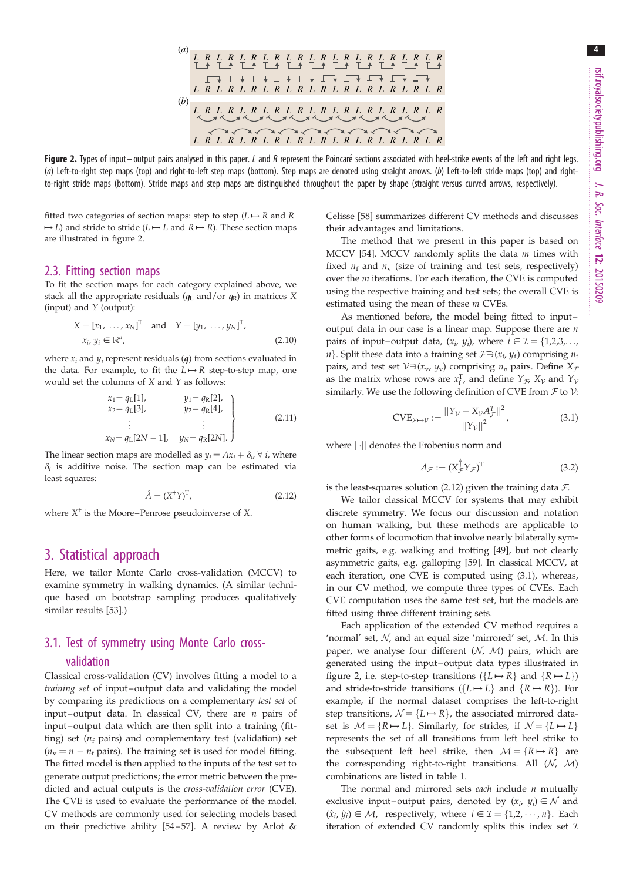

Figure 2. Types of input – output pairs analysed in this paper. L and R represent the Poincaré sections associated with heel-strike events of the left and right legs. (a) Left-to-right step maps (top) and right-to-left step maps (bottom). Step maps are denoted using straight arrows. (b) Left-to-left stride maps (top) and rightto-right stride maps (bottom). Stride maps and step maps are distinguished throughout the paper by shape (straight versus curved arrows, respectively).

fitted two categories of section maps: step to step  $(L \mapsto R$  and R  $\mapsto$  L) and stride to stride (L  $\mapsto$  L and R  $\mapsto$  R). These section maps are illustrated in figure 2.

#### 2.3. Fitting section maps

To fit the section maps for each category explained above, we stack all the appropriate residuals  $(q_L \text{ and/or } q_R)$  in matrices X (input) and  $Y$  (output):

$$
X = [x_1, ..., x_N]^T \text{ and } Y = [y_1, ..., y_N]^T,
$$
  

$$
x_i, y_i \in \mathbb{R}^d,
$$
 (2.10)

where  $x_i$  and  $y_i$  represent residuals (q) from sections evaluated in the data. For example, to fit the  $L \mapsto R$  step-to-step map, one would set the columns of X and Y as follows:

$$
x_{1} = q_{L}[1], \t y_{1} = q_{R}[2],
$$
  
\n
$$
x_{2} = q_{L}[3], \t y_{2} = q_{R}[4],
$$
  
\n
$$
\vdots \t \vdots
$$
  
\n
$$
x_{N} = q_{L}[2N - 1], \t y_{N} = q_{R}[2N].
$$
\n(2.11)

The linear section maps are modelled as  $y_i = Ax_i + \delta_i$ ,  $\forall i$ , where  $\delta_i$  is additive noise. The section map can be estimated via least squares:

$$
\hat{A} = (X^{\dagger}Y)^{\mathrm{T}},\tag{2.12}
$$

where  $X^{\dagger}$  is the Moore–Penrose pseudoinverse of X.

### 3. Statistical approach

Here, we tailor Monte Carlo cross-validation (MCCV) to examine symmetry in walking dynamics. (A similar technique based on bootstrap sampling produces qualitatively similar results [\[53](#page-9-0)].)

## 3.1. Test of symmetry using Monte Carlo crossvalidation

Classical cross-validation (CV) involves fitting a model to a training set of input-output data and validating the model by comparing its predictions on a complementary test set of input-output data. In classical CV, there are  $n$  pairs of input –output data which are then split into a training (fitting) set ( $n_f$  pairs) and complementary test (validation) set  $(n_v = n - n_f$  pairs). The training set is used for model fitting. The fitted model is then applied to the inputs of the test set to generate output predictions; the error metric between the predicted and actual outputs is the cross-validation error (CVE). The CVE is used to evaluate the performance of the model. CV methods are commonly used for selecting models based on their predictive ability [[54](#page-9-0) –[57](#page-9-0)]. A review by Arlot &

Celisse [[58\]](#page-9-0) summarizes different CV methods and discusses their advantages and limitations.

The method that we present in this paper is based on MCCV [\[54](#page-9-0)]. MCCV randomly splits the data  $m$  times with fixed  $n_f$  and  $n_v$  (size of training and test sets, respectively) over the m iterations. For each iteration, the CVE is computed using the respective training and test sets; the overall CVE is estimated using the mean of these m CVEs.

As mentioned before, the model being fitted to input– output data in our case is a linear map. Suppose there are  $n$ pairs of input–output data,  $(x_i, y_i)$ , where  $i \in \mathcal{I} = \{1,2,3,...,$  $n\}$ . Split these data into a training set  $\mathcal{F}\exists(x_f, y_f)$  comprising  $n_f$ pairs, and test set  $V \ni (x_v, y_v)$  comprising  $n_v$  pairs. Define  $X_F$ as the matrix whose rows are  $x_f^T$ , and define  $Y_{\mathcal{F}}$ ,  $X_{\mathcal{V}}$  and  $Y_{\mathcal{V}}$ similarly. We use the following definition of CVE from  $\mathcal F$  to  $\mathcal V$ :

$$
CVE_{\mathcal{F}\mapsto\mathcal{V}} := \frac{||Y_{\mathcal{V}} - X_{\mathcal{V}}A_{\mathcal{F}}^{T}||^{2}}{||Y_{\mathcal{V}}||^{2}},
$$
(3.1)

where  $||\cdot||$  denotes the Frobenius norm and

$$
A_{\mathcal{F}} := (X_{\mathcal{F}}^{\dagger} Y_{\mathcal{F}})^{\mathrm{T}}
$$
 (3.2)

is the least-squares solution (2.12) given the training data  $\mathcal{F}$ .

We tailor classical MCCV for systems that may exhibit discrete symmetry. We focus our discussion and notation on human walking, but these methods are applicable to other forms of locomotion that involve nearly bilaterally symmetric gaits, e.g. walking and trotting [\[49](#page-9-0)], but not clearly asymmetric gaits, e.g. galloping [\[59](#page-9-0)]. In classical MCCV, at each iteration, one CVE is computed using (3.1), whereas, in our CV method, we compute three types of CVEs. Each CVE computation uses the same test set, but the models are fitted using three different training sets.

Each application of the extended CV method requires a 'normal' set,  $N$ , and an equal size 'mirrored' set,  $M$ . In this paper, we analyse four different  $(N, M)$  pairs, which are generated using the input –output data types illustrated in figure 2, i.e. step-to-step transitions ( $\{L \mapsto R\}$  and  $\{R \mapsto L\}$ ) and stride-to-stride transitions ( ${L \mapsto L}$  and  ${R \mapsto R}$ ). For example, if the normal dataset comprises the left-to-right step transitions,  $\mathcal{N} = \{L \mapsto R\}$ , the associated mirrored dataset is  $M = \{R \mapsto L\}$ . Similarly, for strides, if  $N = \{L \mapsto L\}$ represents the set of all transitions from left heel strike to the subsequent left heel strike, then  $M = \{R \mapsto R\}$  are the corresponding right-to-right transitions. All  $(N, M)$ combinations are listed in [table 1](#page-4-0).

The normal and mirrored sets each include  $n$  mutually exclusive input–output pairs, denoted by  $(x_i, y_i) \in \mathcal{N}$  and  $(\hat{x}_i, \hat{y}_i) \in \mathcal{M}$ , respectively, where  $i \in \mathcal{I} = \{1,2,\cdots, n\}$ . Each iteration of extended CV randomly splits this index set  $\mathcal I$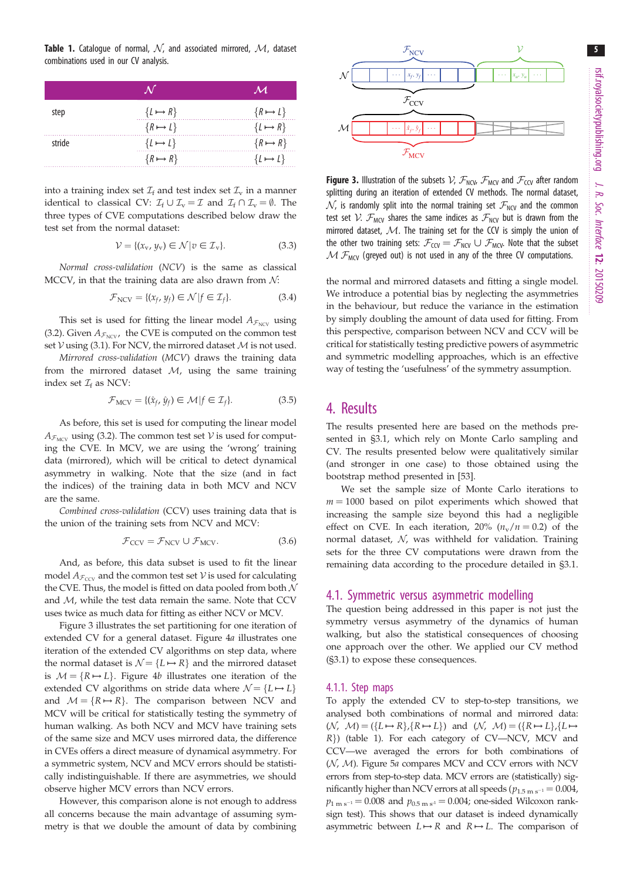5

<span id="page-4-0"></span>**Table 1.** Catalogue of normal,  $\mathcal{N}$ , and associated mirrored,  $\mathcal{M}$ , dataset combinations used in our CV analysis.

|        |                   | $\mathcal M$      |
|--------|-------------------|-------------------|
| step   | $\{L \mapsto R\}$ | $\{R \mapsto L\}$ |
|        | $\{R \mapsto L\}$ | $\{L \mapsto R\}$ |
| stride | $\{L \mapsto L\}$ | $\{R \mapsto R\}$ |
|        | $\{R \mapsto R\}$ | $\{L \mapsto L\}$ |

into a training index set  $\mathcal{I}_f$  and test index set  $\mathcal{I}_v$  in a manner identical to classical CV:  $\mathcal{I}_f \cup \mathcal{I}_v = \mathcal{I}$  and  $\mathcal{I}_f \cap \mathcal{I}_v = \emptyset$ . The three types of CVE computations described below draw the test set from the normal dataset:

$$
\mathcal{V} = \{ (x_v, y_v) \in \mathcal{N} | v \in \mathcal{I}_v \}. \tag{3.3}
$$

Normal cross-validation (NCV) is the same as classical MCCV, in that the training data are also drawn from  $\mathcal{N}$ :

$$
\mathcal{F}_{\text{NCV}} = \{ (x_f, y_f) \in \mathcal{N} | f \in \mathcal{I}_f \}. \tag{3.4}
$$

This set is used for fitting the linear model  $A_{\mathcal{F}_{\text{NCV}}}$  using (3.2). Given  $A_{\mathcal{F}_{\text{NCV}}}$ , the CVE is computed on the common test set  $V$  using (3.1). For NCV, the mirrored dataset  $M$  is not used.

Mirrored cross-validation (MCV) draws the training data from the mirrored dataset  $M$ , using the same training index set  $\mathcal{I}_f$  as NCV:

$$
\mathcal{F}_{\text{MCV}} = \{ (\hat{x}_f, \hat{y}_f) \in \mathcal{M} | f \in \mathcal{I}_f \}. \tag{3.5}
$$

As before, this set is used for computing the linear model  $A_{\mathcal{F}_{\text{MCV}}}$  using (3.2). The common test set V is used for computing the CVE. In MCV, we are using the 'wrong' training data (mirrored), which will be critical to detect dynamical asymmetry in walking. Note that the size (and in fact the indices) of the training data in both MCV and NCV are the same.

Combined cross-validation (CCV) uses training data that is the union of the training sets from NCV and MCV:

$$
\mathcal{F}_{CCV} = \mathcal{F}_{NCV} \cup \mathcal{F}_{MCV}.
$$
 (3.6)

And, as before, this data subset is used to fit the linear model  $A_{\mathcal{F}_{CCV}}$  and the common test set V is used for calculating the CVE. Thus, the model is fitted on data pooled from both  $\mathcal N$ and M, while the test data remain the same. Note that CCV uses twice as much data for fitting as either NCV or MCV.

Figure 3 illustrates the set partitioning for one iteration of extended CV for a general dataset. [Figure 4](#page-5-0)a illustrates one iteration of the extended CV algorithms on step data, where the normal dataset is  $\mathcal{N} = \{L \mapsto R\}$  and the mirrored dataset is  $M = \{R \mapsto L\}$ . [Figure 4](#page-5-0)b illustrates one iteration of the extended CV algorithms on stride data where  $\mathcal{N} = \{L \mapsto L\}$ and  $M = \{R \mapsto R\}$ . The comparison between NCV and MCV will be critical for statistically testing the symmetry of human walking. As both NCV and MCV have training sets of the same size and MCV uses mirrored data, the difference in CVEs offers a direct measure of dynamical asymmetry. For a symmetric system, NCV and MCV errors should be statistically indistinguishable. If there are asymmetries, we should observe higher MCV errors than NCV errors.

However, this comparison alone is not enough to address all concerns because the main advantage of assuming symmetry is that we double the amount of data by combining



**Figure 3.** Illustration of the subsets  $V$ ,  $\mathcal{F}_{NCV}$ ,  $\mathcal{F}_{MCV}$  and  $\mathcal{F}_{CCV}$  after random splitting during an iteration of extended CV methods. The normal dataset,  $\mathcal{N}_r$  is randomly split into the normal training set  $\mathcal{F}_{\text{NCV}}$  and the common test set V.  $\mathcal{F}_{MCV}$  shares the same indices as  $\mathcal{F}_{NCV}$  but is drawn from the mirrored dataset,  $M$ . The training set for the CCV is simply the union of the other two training sets:  $\mathcal{F}_{\text{CCV}} = \mathcal{F}_{\text{NCV}} \cup \mathcal{F}_{\text{MCV}}$ . Note that the subset  $M$   $\mathcal{F}_{\text{MCV}}$  (greyed out) is not used in any of the three CV computations.

the normal and mirrored datasets and fitting a single model. We introduce a potential bias by neglecting the asymmetries in the behaviour, but reduce the variance in the estimation by simply doubling the amount of data used for fitting. From this perspective, comparison between NCV and CCV will be critical for statistically testing predictive powers of asymmetric and symmetric modelling approaches, which is an effective way of testing the 'usefulness' of the symmetry assumption.

#### 4. Results

The results presented here are based on the methods presented in §3.1, which rely on Monte Carlo sampling and CV. The results presented below were qualitatively similar (and stronger in one case) to those obtained using the bootstrap method presented in [[53\]](#page-9-0).

We set the sample size of Monte Carlo iterations to  $m = 1000$  based on pilot experiments which showed that increasing the sample size beyond this had a negligible effect on CVE. In each iteration, 20%  $(n_v/n = 0.2)$  of the normal dataset,  $N$ , was withheld for validation. Training sets for the three CV computations were drawn from the remaining data according to the procedure detailed in §3.1.

#### 4.1. Symmetric versus asymmetric modelling

The question being addressed in this paper is not just the symmetry versus asymmetry of the dynamics of human walking, but also the statistical consequences of choosing one approach over the other. We applied our CV method (§3.1) to expose these consequences.

#### 4.1.1. Step maps

To apply the extended CV to step-to-step transitions, we analysed both combinations of normal and mirrored data:  $(N, M) = (\{L \mapsto R\}, \{R \mapsto L\})$  and  $(N, M) = (\{R \mapsto L\}, \{L \mapsto R\})$ R}) (table 1). For each category of CV—NCV, MCV and CCV—we averaged the errors for both combinations of (N, M). [Figure 5](#page-5-0)a compares MCV and CCV errors with NCV errors from step-to-step data. MCV errors are (statistically) significantly higher than NCV errors at all speeds ( $p_{1.5 \text{ m s}^{-1}}$  = 0.004,  $p_{1 \text{ m s}^{-1}} = 0.008$  and  $p_{0.5 \text{ m s}^{-1}} = 0.004$ ; one-sided Wilcoxon ranksign test). This shows that our dataset is indeed dynamically asymmetric between  $L \mapsto R$  and  $R \mapsto L$ . The comparison of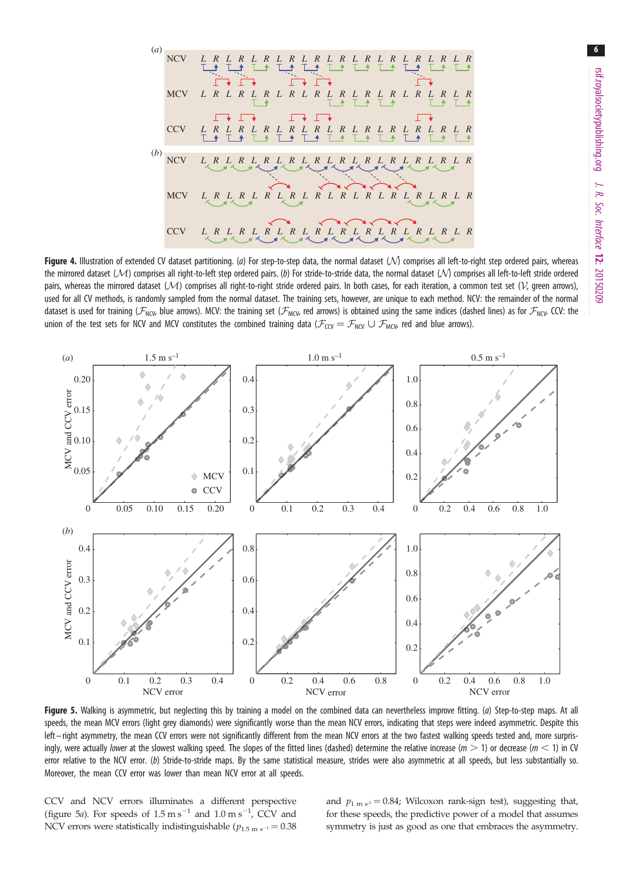<span id="page-5-0"></span>

Figure 4. Illustration of extended CV dataset partitioning. (a) For step-to-step data, the normal dataset  $(N)$  comprises all left-to-right step ordered pairs, whereas the mirrored dataset ( $M$ ) comprises all right-to-left step ordered pairs. (b) For stride-to-stride data, the normal dataset ( $N$ ) comprises all left-to-left stride ordered pairs, whereas the mirrored dataset  $(\mathcal{M})$  comprises all right-to-right stride ordered pairs. In both cases, for each iteration, a common test set  $(\mathcal{V})$ , green arrows), used for all CV methods, is randomly sampled from the normal dataset. The training sets, however, are unique to each method. NCV: the remainder of the normal dataset is used for training ( $\mathcal{F}_{NCV}$ , blue arrows). MCV: the training set ( $\mathcal{F}_{MCV}$ , red arrows) is obtained using the same indices (dashed lines) as for  $\mathcal{F}_{NCV}$ . CCV: the union of the test sets for NCV and MCV constitutes the combined training data ( $\mathcal{F}_{\text{CCV}} = \mathcal{F}_{\text{NCV}} \cup \mathcal{F}_{\text{MCV}}$  red and blue arrows).



Figure 5. Walking is asymmetric, but neglecting this by training a model on the combined data can nevertheless improve fitting. (a) Step-to-step maps. At all speeds, the mean MCV errors (light grey diamonds) were significantly worse than the mean NCV errors, indicating that steps were indeed asymmetric. Despite this left-right asymmetry, the mean CCV errors were not significantly different from the mean NCV errors at the two fastest walking speeds tested and, more surprisingly, were actually lower at the slowest walking speed. The slopes of the fitted lines (dashed) determine the relative increase ( $m > 1$ ) or decrease ( $m < 1$ ) in CV error relative to the NCV error. (b) Stride-to-stride maps. By the same statistical measure, strides were also asymmetric at all speeds, but less substantially so. Moreover, the mean CCV error was lower than mean NCV error at all speeds.

CCV and NCV errors illuminates a different perspective (figure 5*a*). For speeds of  $1.5 \text{ m s}^{-1}$  and  $1.0 \text{ m s}^{-1}$ , CCV and NCV errors were statistically indistinguishable ( $p_{1.5 \text{ m s}^{-1}}$  = 0.38 and  $p_{1,m,s^1} = 0.84$ ; Wilcoxon rank-sign test), suggesting that, for these speeds, the predictive power of a model that assumes symmetry is just as good as one that embraces the asymmetry.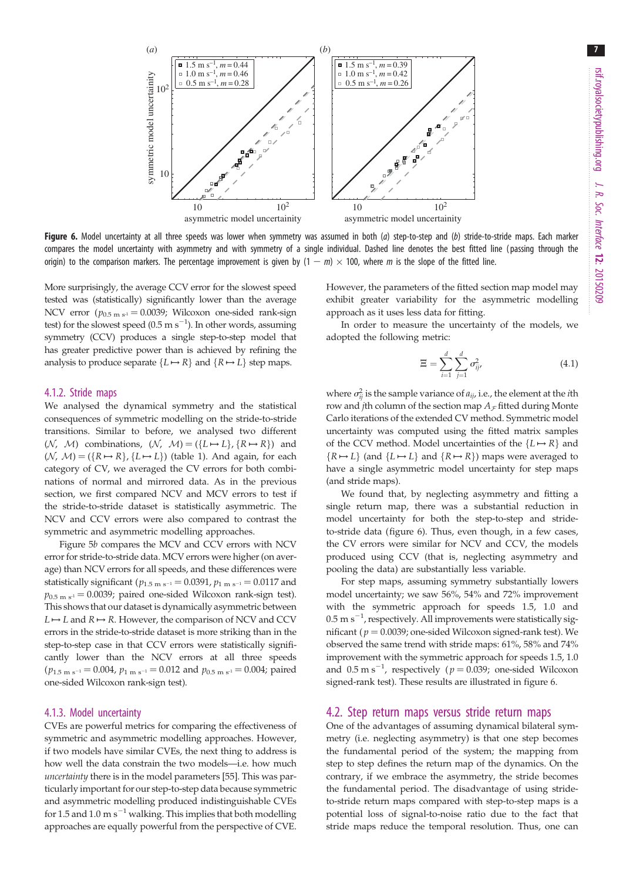<span id="page-6-0"></span>

Figure 6. Model uncertainty at all three speeds was lower when symmetry was assumed in both  $(a)$  step-to-step and  $(b)$  stride-to-stride maps. Each marker compares the model uncertainty with asymmetry and with symmetry of a single individual. Dashed line denotes the best fitted line ( passing through the origin) to the comparison markers. The percentage improvement is given by  $(1 - m) \times 100$ , where m is the slope of the fitted line.

More surprisingly, the average CCV error for the slowest speed tested was (statistically) significantly lower than the average NCV error ( $p_{0.5 \text{ m s}^{-1}}$  = 0.0039; Wilcoxon one-sided rank-sign test) for the slowest speed (0.5 m  $\rm s^{-1}$ ). In other words, assuming symmetry (CCV) produces a single step-to-step model that has greater predictive power than is achieved by refining the analysis to produce separate  ${L \mapsto R}$  and  ${R \mapsto L}$  step maps.

#### 4.1.2. Stride maps

We analysed the dynamical symmetry and the statistical consequences of symmetric modelling on the stride-to-stride transitions. Similar to before, we analysed two different  $(N, M)$  combinations,  $(N, M) = (\{L \mapsto L\}, \{R \mapsto R\})$  and  $(N, M) = (\{R \mapsto R\}, \{L \mapsto L\})$  [\(table 1\)](#page-4-0). And again, for each category of CV, we averaged the CV errors for both combinations of normal and mirrored data. As in the previous section, we first compared NCV and MCV errors to test if the stride-to-stride dataset is statistically asymmetric. The NCV and CCV errors were also compared to contrast the symmetric and asymmetric modelling approaches.

[Figure 5](#page-5-0)b compares the MCV and CCV errors with NCV error for stride-to-stride data. MCV errors were higher (on average) than NCV errors for all speeds, and these differences were statistically significant ( $p_{1.5 \text{ m s}^{-1}} = 0.0391$ ,  $p_{1 \text{ m s}^{-1}} = 0.0117$  and  $p_{0.5 \text{ m/s}^1} = 0.0039$ ; paired one-sided Wilcoxon rank-sign test). This shows that our dataset is dynamically asymmetric between  $L \mapsto L$  and  $R \mapsto R$ . However, the comparison of NCV and CCV errors in the stride-to-stride dataset is more striking than in the step-to-step case in that CCV errors were statistically significantly lower than the NCV errors at all three speeds  $(p_{1.5 \text{ m s}^{-1}} = 0.004, p_{1 \text{ m s}^{-1}} = 0.012 \text{ and } p_{0.5 \text{ m s}^{-1}} = 0.004$ ; paired one-sided Wilcoxon rank-sign test).

#### 4.1.3. Model uncertainty

CVEs are powerful metrics for comparing the effectiveness of symmetric and asymmetric modelling approaches. However, if two models have similar CVEs, the next thing to address is how well the data constrain the two models—i.e. how much uncertainty there is in the model parameters [\[55](#page-9-0)]. This was particularly important for our step-to-step data because symmetric and asymmetric modelling produced indistinguishable CVEs for 1.5 and 1.0 m s $^{-1}$  walking. This implies that both modelling approaches are equally powerful from the perspective of CVE.

However, the parameters of the fitted section map model may exhibit greater variability for the asymmetric modelling approach as it uses less data for fitting.

In order to measure the uncertainty of the models, we adopted the following metric:

$$
\Xi = \sum_{i=1}^{d} \sum_{j=1}^{d} \sigma_{ij}^{2},
$$
\n(4.1)

where  $\sigma_{ij}^2$  is the sample variance of  $a_{ij}$ , i.e., the element at the *i*th row and jth column of the section map  $A_{\mathcal{F}}$  fitted during Monte Carlo iterations of the extended CV method. Symmetric model uncertainty was computed using the fitted matrix samples of the CCV method. Model uncertainties of the  ${L \mapsto R}$  and  ${R \mapsto L}$  (and  ${L \mapsto L}$  and  ${R \mapsto R}$ ) maps were averaged to have a single asymmetric model uncertainty for step maps (and stride maps).

We found that, by neglecting asymmetry and fitting a single return map, there was a substantial reduction in model uncertainty for both the step-to-step and strideto-stride data (figure 6). Thus, even though, in a few cases, the CV errors were similar for NCV and CCV, the models produced using CCV (that is, neglecting asymmetry and pooling the data) are substantially less variable.

For step maps, assuming symmetry substantially lowers model uncertainty; we saw 56%, 54% and 72% improvement with the symmetric approach for speeds 1.5, 1.0 and  $0.5$  m s<sup> $-1$ </sup>, respectively. All improvements were statistically significant ( $p = 0.0039$ ; one-sided Wilcoxon signed-rank test). We observed the same trend with stride maps: 61%, 58% and 74% improvement with the symmetric approach for speeds 1.5, 1.0 and 0.5 m s<sup>-1</sup>, respectively ( $p = 0.039$ ; one-sided Wilcoxon signed-rank test). These results are illustrated in figure 6.

#### 4.2. Step return maps versus stride return maps

One of the advantages of assuming dynamical bilateral symmetry (i.e. neglecting asymmetry) is that one step becomes the fundamental period of the system; the mapping from step to step defines the return map of the dynamics. On the contrary, if we embrace the asymmetry, the stride becomes the fundamental period. The disadvantage of using strideto-stride return maps compared with step-to-step maps is a potential loss of signal-to-noise ratio due to the fact that stride maps reduce the temporal resolution. Thus, one can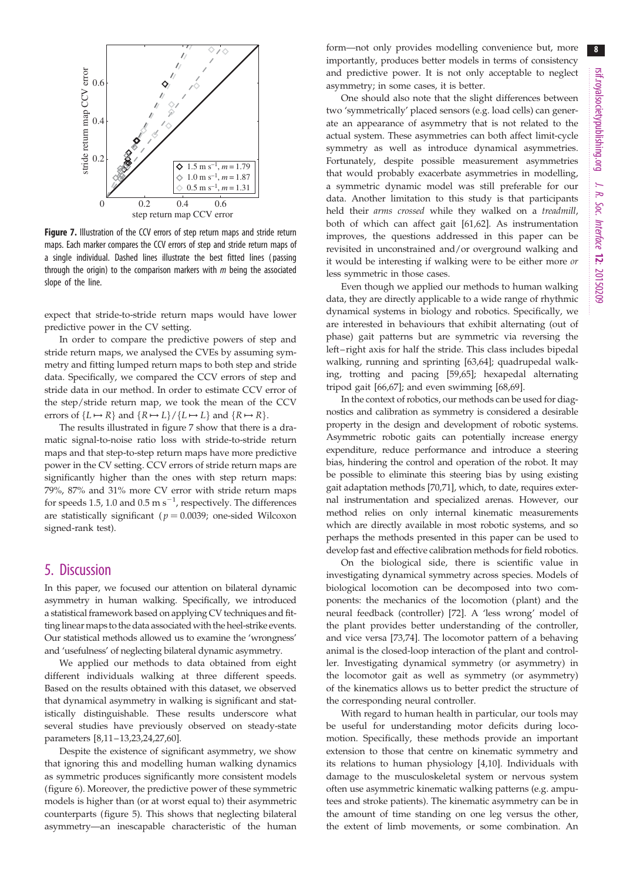8



Figure 7. Illustration of the CCV errors of step return maps and stride return maps. Each marker compares the CCV errors of step and stride return maps of a single individual. Dashed lines illustrate the best fitted lines ( passing through the origin) to the comparison markers with  $m$  being the associated slope of the line.

expect that stride-to-stride return maps would have lower predictive power in the CV setting.

In order to compare the predictive powers of step and stride return maps, we analysed the CVEs by assuming symmetry and fitting lumped return maps to both step and stride data. Specifically, we compared the CCV errors of step and stride data in our method. In order to estimate CCV error of the step/stride return map, we took the mean of the CCV errors of  $\{L \mapsto R\}$  and  $\{R \mapsto L\}/\{L \mapsto L\}$  and  $\{R \mapsto R\}.$ 

The results illustrated in figure 7 show that there is a dramatic signal-to-noise ratio loss with stride-to-stride return maps and that step-to-step return maps have more predictive power in the CV setting. CCV errors of stride return maps are significantly higher than the ones with step return maps: 79%, 87% and 31% more CV error with stride return maps for speeds 1.5, 1.0 and 0.5 m  $s^{-1}$ , respectively. The differences are statistically significant ( $p = 0.0039$ ; one-sided Wilcoxon signed-rank test).

### 5. Discussion

In this paper, we focused our attention on bilateral dynamic asymmetry in human walking. Specifically, we introduced a statistical framework based on applying CV techniques and fitting linearmaps to the data associated with the heel-strike events. Our statistical methods allowed us to examine the 'wrongness' and 'usefulness' of neglecting bilateral dynamic asymmetry.

We applied our methods to data obtained from eight different individuals walking at three different speeds. Based on the results obtained with this dataset, we observed that dynamical asymmetry in walking is significant and statistically distinguishable. These results underscore what several studies have previously observed on steady-state parameters [\[8,11](#page-8-0)–[13](#page-8-0),[23,24,27](#page-8-0)[,60](#page-9-0)].

Despite the existence of significant asymmetry, we show that ignoring this and modelling human walking dynamics as symmetric produces significantly more consistent models [\(figure 6](#page-6-0)). Moreover, the predictive power of these symmetric models is higher than (or at worst equal to) their asymmetric counterparts ([figure 5\)](#page-5-0). This shows that neglecting bilateral asymmetry—an inescapable characteristic of the human

form—not only provides modelling convenience but, more importantly, produces better models in terms of consistency and predictive power. It is not only acceptable to neglect asymmetry; in some cases, it is better.

One should also note that the slight differences between two 'symmetrically' placed sensors (e.g. load cells) can generate an appearance of asymmetry that is not related to the actual system. These asymmetries can both affect limit-cycle symmetry as well as introduce dynamical asymmetries. Fortunately, despite possible measurement asymmetries that would probably exacerbate asymmetries in modelling, a symmetric dynamic model was still preferable for our data. Another limitation to this study is that participants held their arms crossed while they walked on a treadmill, both of which can affect gait [\[61,62](#page-9-0)]. As instrumentation improves, the questions addressed in this paper can be revisited in unconstrained and/or overground walking and it would be interesting if walking were to be either more or less symmetric in those cases.

Even though we applied our methods to human walking data, they are directly applicable to a wide range of rhythmic dynamical systems in biology and robotics. Specifically, we are interested in behaviours that exhibit alternating (out of phase) gait patterns but are symmetric via reversing the left – right axis for half the stride. This class includes bipedal walking, running and sprinting [[63,64\]](#page-9-0); quadrupedal walking, trotting and pacing [[59,65](#page-9-0)]; hexapedal alternating tripod gait [[66,67\]](#page-9-0); and even swimming [[68,69\]](#page-9-0).

In the context of robotics, our methods can be used for diagnostics and calibration as symmetry is considered a desirable property in the design and development of robotic systems. Asymmetric robotic gaits can potentially increase energy expenditure, reduce performance and introduce a steering bias, hindering the control and operation of the robot. It may be possible to eliminate this steering bias by using existing gait adaptation methods [\[70,71](#page-9-0)], which, to date, requires external instrumentation and specialized arenas. However, our method relies on only internal kinematic measurements which are directly available in most robotic systems, and so perhaps the methods presented in this paper can be used to develop fast and effective calibration methods for field robotics.

On the biological side, there is scientific value in investigating dynamical symmetry across species. Models of biological locomotion can be decomposed into two components: the mechanics of the locomotion (plant) and the neural feedback (controller) [[72\]](#page-9-0). A 'less wrong' model of the plant provides better understanding of the controller, and vice versa [\[73,74](#page-9-0)]. The locomotor pattern of a behaving animal is the closed-loop interaction of the plant and controller. Investigating dynamical symmetry (or asymmetry) in the locomotor gait as well as symmetry (or asymmetry) of the kinematics allows us to better predict the structure of the corresponding neural controller.

With regard to human health in particular, our tools may be useful for understanding motor deficits during locomotion. Specifically, these methods provide an important extension to those that centre on kinematic symmetry and its relations to human physiology [\[4,10](#page-8-0)]. Individuals with damage to the musculoskeletal system or nervous system often use asymmetric kinematic walking patterns (e.g. amputees and stroke patients). The kinematic asymmetry can be in the amount of time standing on one leg versus the other, the extent of limb movements, or some combination. An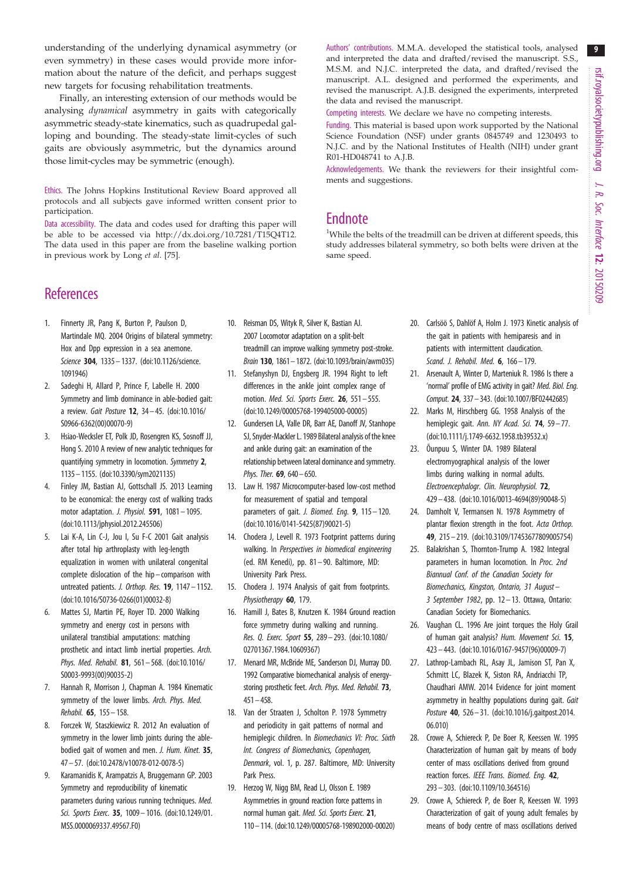<span id="page-8-0"></span>understanding of the underlying dynamical asymmetry (or even symmetry) in these cases would provide more information about the nature of the deficit, and perhaps suggest new targets for focusing rehabilitation treatments.

Finally, an interesting extension of our methods would be analysing dynamical asymmetry in gaits with categorically asymmetric steady-state kinematics, such as quadrupedal galloping and bounding. The steady-state limit-cycles of such gaits are obviously asymmetric, but the dynamics around those limit-cycles may be symmetric (enough).

Ethics. The Johns Hopkins Institutional Review Board approved all protocols and all subjects gave informed written consent prior to participation.

Data accessibility. The data and codes used for drafting this paper will be able to be accessed via<http://dx.doi.org/10.7281/T15Q4T12>. The data used in this paper are from the baseline walking portion in previous work by Long et al. [[75\]](#page-9-0).

Authors' contributions. M.M.A. developed the statistical tools, analysed and interpreted the data and drafted/revised the manuscript. S.S., M.S.M. and N.J.C. interpreted the data, and drafted/revised the manuscript. A.L. designed and performed the experiments, and revised the manuscript. A.J.B. designed the experiments, interpreted the data and revised the manuscript.

Competing interests. We declare we have no competing interests.

Funding. This material is based upon work supported by the National Science Foundation (NSF) under grants 0845749 and 1230493 to N.J.C. and by the National Institutes of Health (NIH) under grant R01-HD048741 to A.J.B.

Acknowledgements. We thank the reviewers for their insightful comments and suggestions.

## Endnote

<sup>1</sup>While the belts of the treadmill can be driven at different speeds, this study addresses bilateral symmetry, so both belts were driven at the same speed.

## **References**

- 1. Finnerty JR, Pang K, Burton P, Paulson D, Martindale MQ. 2004 Origins of bilateral symmetry: Hox and Dpp expression in a sea anemone. Science 304, 1335– 1337. [\(doi:10.1126/science.](http://dx.doi.org/10.1126/science.1091946) [1091946\)](http://dx.doi.org/10.1126/science.1091946)
- 2. Sadeghi H, Allard P, Prince F, Labelle H. 2000 Symmetry and limb dominance in able-bodied gait: a review. Gait Posture 12, 34 – 45. [\(doi:10.1016/](http://dx.doi.org/10.1016/S0966-6362(00)00070-9) [S0966-6362\(00\)00070-9\)](http://dx.doi.org/10.1016/S0966-6362(00)00070-9)
- 3. Hsiao-Wecksler ET, Polk JD, Rosengren KS, Sosnoff JJ, Hong S. 2010 A review of new analytic techniques for quantifying symmetry in locomotion. Symmetry 2, 1135–1155. [\(doi:10.3390/sym2021135](http://dx.doi.org/10.3390/sym2021135))
- 4. Finley JM, Bastian AJ, Gottschall JS. 2013 Learning to be economical: the energy cost of walking tracks motor adaptation. J. Physiol. 591, 1081 – 1095. [\(doi:10.1113/jphysiol.2012.245506\)](http://dx.doi.org/10.1113/jphysiol.2012.245506)
- 5. Lai K-A, Lin C-J, Jou I, Su F-C 2001 Gait analysis after total hip arthroplasty with leg-length equalization in women with unilateral congenital complete dislocation of the hip - comparison with untreated patients. J. Orthop. Res. **19**, 1147-1152. [\(doi:10.1016/S0736-0266\(01\)00032-8](http://dx.doi.org/10.1016/S0736-0266(01)00032-8))
- 6. Mattes SJ, Martin PE, Royer TD. 2000 Walking symmetry and energy cost in persons with unilateral transtibial amputations: matching prosthetic and intact limb inertial properties. Arch. Phys. Med. Rehabil. 81, 561– 568. [\(doi:10.1016/](http://dx.doi.org/10.1016/S0003-9993(00)90035-2) [S0003-9993\(00\)90035-2\)](http://dx.doi.org/10.1016/S0003-9993(00)90035-2)
- 7. Hannah R, Morrison J, Chapman A. 1984 Kinematic symmetry of the lower limbs. Arch. Phys. Med. Rehabil. 65, 155– 158.
- 8. Forczek W, Staszkiewicz R. 2012 An evaluation of symmetry in the lower limb joints during the ablebodied gait of women and men. J. Hum. Kinet. 35, 47 – 57. ([doi:10.2478/v10078-012-0078-5\)](http://dx.doi.org/10.2478/v10078-012-0078-5)
- 9. Karamanidis K, Arampatzis A, Bruggemann GP. 2003 Symmetry and reproducibility of kinematic parameters during various running techniques. Med. Sci. Sports Exerc. 35, 1009 - 1016. [\(doi:10.1249/01.](http://dx.doi.org/10.1249/01.MSS.0000069337.49567.F0) [MSS.0000069337.49567.F0\)](http://dx.doi.org/10.1249/01.MSS.0000069337.49567.F0)
- 10. Reisman DS, Wityk R, Silver K, Bastian AJ. 2007 Locomotor adaptation on a split-belt treadmill can improve walking symmetry post-stroke. Brain 130, 1861–1872. [\(doi:10.1093/brain/awm035\)](http://dx.doi.org/10.1093/brain/awm035)
- 11. Stefanyshyn DJ, Engsberg JR. 1994 Right to left differences in the ankle joint complex range of motion. Med. Sci. Sports Exerc. 26, 551-555. [\(doi:10.1249/00005768-199405000-00005\)](http://dx.doi.org/10.1249/00005768-199405000-00005)
- 12. Gundersen LA, Valle DR, Barr AE, Danoff JV, Stanhope SJ, Snyder-Mackler L. 1989 Bilateral analysis of the knee and ankle during gait: an examination of the relationship between lateral dominance and symmetry. Phys. Ther. **69**, 640 - 650.
- 13. Law H. 1987 Microcomputer-based low-cost method for measurement of spatial and temporal parameters of gait. J. Biomed. Eng. 9, 115 – 120. [\(doi:10.1016/0141-5425\(87\)90021-5](http://dx.doi.org/10.1016/0141-5425(87)90021-5))
- 14. Chodera J, Levell R. 1973 Footprint patterns during walking. In Perspectives in biomedical engineering (ed. RM Kenedi), pp. 81 – 90. Baltimore, MD: University Park Press.
- 15. Chodera J. 1974 Analysis of gait from footprints. Physiotherapy 60, 179.
- 16. Hamill J, Bates B, Knutzen K. 1984 Ground reaction force symmetry during walking and running. Res. Q. Exerc. Sport 55, 289– 293. ([doi:10.1080/](http://dx.doi.org/10.1080/02701367.1984.10609367) [02701367.1984.10609367\)](http://dx.doi.org/10.1080/02701367.1984.10609367)
- 17. Menard MR, McBride ME, Sanderson DJ, Murray DD. 1992 Comparative biomechanical analysis of energystoring prosthetic feet. Arch. Phys. Med. Rehabil. 73, 451–458.
- 18. Van der Straaten J, Scholton P. 1978 Symmetry and periodicity in gait patterns of normal and hemiplegic children. In Biomechanics VI: Proc. Sixth Int. Congress of Biomechanics, Copenhagen, Denmark, vol. 1, p. 287. Baltimore, MD: University Park Press.
- 19. Herzog W, Nigg BM, Read LJ, Olsson E. 1989 Asymmetries in ground reaction force patterns in normal human gait. Med. Sci. Sports Exerc. 21. 110–114. ([doi:10.1249/00005768-198902000-00020](http://dx.doi.org/10.1249/00005768-198902000-00020))
- 20. Carlsöö S, Dahlöf A, Holm J. 1973 Kinetic analysis of the gait in patients with hemiparesis and in patients with intermittent claudication. Scand. J. Rehabil. Med. 6, 166– 179.
- 21. Arsenault A, Winter D, Marteniuk R. 1986 Is there a 'normal' profile of EMG activity in gait? Med. Biol. Eng. Comput. 24, 337–343. ([doi:10.1007/BF02442685\)](http://dx.doi.org/10.1007/BF02442685)
- 22. Marks M, Hirschberg GG. 1958 Analysis of the hemiplegic gait. Ann. NY Acad. Sci. 74, 59-77. ([doi:10.1111/j.1749-6632.1958.tb39532.x\)](http://dx.doi.org/10.1111/j.1749-6632.1958.tb39532.x)
- 23. Õunpuu S, Winter DA. 1989 Bilateral electromyographical analysis of the lower limbs during walking in normal adults. Electroencephalogr. Clin. Neurophysiol. 72, 429– 438. [\(doi:10.1016/0013-4694\(89\)90048-5](http://dx.doi.org/10.1016/0013-4694(89)90048-5))
- 24. Damholt V, Termansen N. 1978 Asymmetry of plantar flexion strength in the foot. Acta Orthop. 49, 215 – 219. [\(doi:10.3109/17453677809005754](http://dx.doi.org/10.3109/17453677809005754))
- 25. Balakrishan S, Thornton-Trump A. 1982 Integral parameters in human locomotion. In Proc. 2nd Biannual Conf. of the Canadian Society for Biomechanics, Kingston, Ontario, 31 August – 3 September 1982, pp. 12– 13. Ottawa, Ontario: Canadian Society for Biomechanics.
- 26. Vaughan CL. 1996 Are joint torques the Holy Grail of human gait analysis? Hum. Movement Sci. 15, 423– 443. [\(doi:10.1016/0167-9457\(96\)00009-7](http://dx.doi.org/10.1016/0167-9457(96)00009-7))
- 27. Lathrop-Lambach RL, Asay JL, Jamison ST, Pan X, Schmitt LC, Blazek K, Siston RA, Andriacchi TP, Chaudhari AMW. 2014 Evidence for joint moment asymmetry in healthy populations during gait. Gait Posture 40, 526– 31. ([doi:10.1016/j.gaitpost.2014.](http://dx.doi.org/10.1016/j.gaitpost.2014.06.010) [06.010](http://dx.doi.org/10.1016/j.gaitpost.2014.06.010))
- 28. Crowe A, Schiereck P, De Boer R, Keessen W. 1995 Characterization of human gait by means of body center of mass oscillations derived from ground reaction forces. IEEE Trans. Biomed. Eng. 42. 293– 303. [\(doi:10.1109/10.364516](http://dx.doi.org/10.1109/10.364516))
- 29. Crowe A, Schiereck P, de Boer R, Keessen W. 1993 Characterization of gait of young adult females by means of body centre of mass oscillations derived